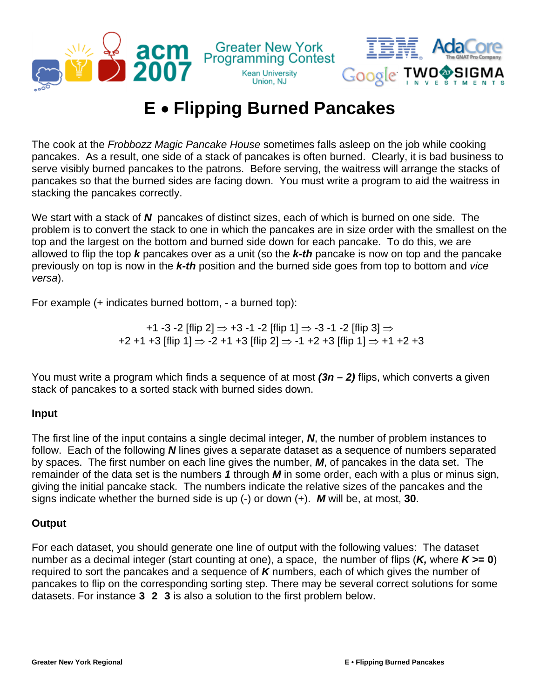

## **E** • **Flipping Burned Pancakes**

The cook at the *Frobbozz Magic Pancake House* sometimes falls asleep on the job while cooking pancakes. As a result, one side of a stack of pancakes is often burned. Clearly, it is bad business to serve visibly burned pancakes to the patrons. Before serving, the waitress will arrange the stacks of pancakes so that the burned sides are facing down. You must write a program to aid the waitress in stacking the pancakes correctly.

We start with a stack of *N* pancakes of distinct sizes, each of which is burned on one side. The problem is to convert the stack to one in which the pancakes are in size order with the smallest on the top and the largest on the bottom and burned side down for each pancake. To do this, we are allowed to flip the top *k* pancakes over as a unit (so the *k-th* pancake is now on top and the pancake previously on top is now in the *k-th* position and the burned side goes from top to bottom and *vice versa*).

For example (+ indicates burned bottom, - a burned top):

+1 -3 -2 [flip 2]  $\Rightarrow$  +3 -1 -2 [flip 1]  $\Rightarrow$  -3 -1 -2 [flip 3]  $\Rightarrow$  $+2 +1 +3$  [flip 1]  $\Rightarrow$  -2 +1 +3 [flip 2]  $\Rightarrow$  -1 +2 +3 [flip 1]  $\Rightarrow$  +1 +2 +3

You must write a program which finds a sequence of at most *(3n – 2)* flips, which converts a given stack of pancakes to a sorted stack with burned sides down.

## **Input**

The first line of the input contains a single decimal integer, *N*, the number of problem instances to follow. Each of the following *N* lines gives a separate dataset as a sequence of numbers separated by spaces. The first number on each line gives the number, *M*, of pancakes in the data set. The remainder of the data set is the numbers *1* through *M* in some order, each with a plus or minus sign, giving the initial pancake stack. The numbers indicate the relative sizes of the pancakes and the signs indicate whether the burned side is up (-) or down (+). *M* will be, at most, **30**.

## **Output**

For each dataset, you should generate one line of output with the following values: The dataset number as a decimal integer (start counting at one), a space, the number of flips (*K,* where *K* **>= 0**) required to sort the pancakes and a sequence of *K* numbers, each of which gives the number of pancakes to flip on the corresponding sorting step. There may be several correct solutions for some datasets. For instance **3 2 3** is also a solution to the first problem below.